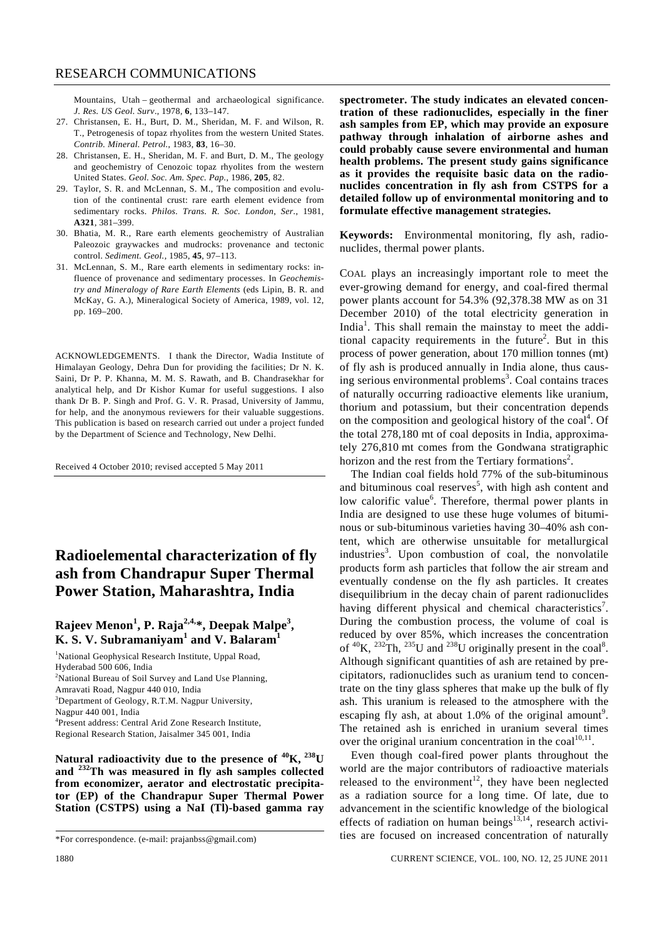Mountains, Utah – geothermal and archaeological significance. *J. Res. US Geol. Surv*., 1978, **6**, 133–147.

- 27. Christansen, E. H., Burt, D. M., Sheridan, M. F. and Wilson, R. T., Petrogenesis of topaz rhyolites from the western United States. *Contrib. Mineral. Petrol.*, 1983, **83**, 16–30.
- 28. Christansen, E. H., Sheridan, M. F. and Burt, D. M., The geology and geochemistry of Cenozoic topaz rhyolites from the western United States. *Geol. Soc. Am. Spec. Pap.*, 1986, **205**, 82.
- 29. Taylor, S. R. and McLennan, S. M., The composition and evolution of the continental crust: rare earth element evidence from sedimentary rocks. *Philos. Trans. R. Soc. London*, *Ser.*, 1981, **A321**, 381–399.
- 30. Bhatia, M. R., Rare earth elements geochemistry of Australian Paleozoic graywackes and mudrocks: provenance and tectonic control. *Sediment. Geol.*, 1985, **45**, 97–113.
- 31. McLennan, S. M., Rare earth elements in sedimentary rocks: influence of provenance and sedimentary processes. In *Geochemistry and Mineralogy of Rare Earth Elements* (eds Lipin, B. R. and McKay, G. A.), Mineralogical Society of America, 1989, vol. 12, pp. 169–200.

ACKNOWLEDGEMENTS. I thank the Director, Wadia Institute of Himalayan Geology, Dehra Dun for providing the facilities; Dr N. K. Saini, Dr P. P. Khanna, M. M. S. Rawath, and B. Chandrasekhar for analytical help, and Dr Kishor Kumar for useful suggestions. I also thank Dr B. P. Singh and Prof. G. V. R. Prasad, University of Jammu, for help, and the anonymous reviewers for their valuable suggestions. This publication is based on research carried out under a project funded by the Department of Science and Technology, New Delhi.

Received 4 October 2010; revised accepted 5 May 2011

## **Radioelemental characterization of fly ash from Chandrapur Super Thermal Power Station, Maharashtra, India**

## **Rajeev Menon<sup>1</sup> , P. Raja2,4,\*, Deepak Malpe3 , K. S. V. Subramaniyam<sup>1</sup> and V. Balaram<sup>1</sup>**

<sup>1</sup>National Geophysical Research Institute, Uppal Road, Hyderabad 500 606, India <sup>2</sup>National Bureau of Soil Survey and Land Use Planning, Amravati Road, Nagpur 440 010, India  $3$ Department of Geology, R.T.M. Nagpur University, Nagpur 440 001, India 4 Present address: Central Arid Zone Research Institute, Regional Research Station, Jaisalmer 345 001, India

**Natural radioactivity due to the presence of 40K, 238U and 232Th was measured in fly ash samples collected from economizer, aerator and electrostatic precipitator (EP) of the Chandrapur Super Thermal Power Station (CSTPS) using a NaI (Tl)-based gamma ray**  **spectrometer. The study indicates an elevated concentration of these radionuclides, especially in the finer ash samples from EP, which may provide an exposure pathway through inhalation of airborne ashes and could probably cause severe environmental and human health problems. The present study gains significance as it provides the requisite basic data on the radionuclides concentration in fly ash from CSTPS for a detailed follow up of environmental monitoring and to formulate effective management strategies.** 

**Keywords:** Environmental monitoring, fly ash, radionuclides, thermal power plants.

COAL plays an increasingly important role to meet the ever-growing demand for energy, and coal-fired thermal power plants account for 54.3% (92,378.38 MW as on 31 December 2010) of the total electricity generation in India<sup>1</sup>. This shall remain the mainstay to meet the additional capacity requirements in the future<sup>2</sup>. But in this process of power generation, about 170 million tonnes (mt) of fly ash is produced annually in India alone, thus causing serious environmental problems<sup>3</sup>. Coal contains traces of naturally occurring radioactive elements like uranium, thorium and potassium, but their concentration depends on the composition and geological history of the coal<sup>4</sup>. Of the total 278,180 mt of coal deposits in India, approximately 276,810 mt comes from the Gondwana stratigraphic horizon and the rest from the Tertiary formations<sup>2</sup>.

 The Indian coal fields hold 77% of the sub-bituminous and bituminous coal reserves<sup>5</sup>, with high ash content and low calorific value<sup>6</sup>. Therefore, thermal power plants in India are designed to use these huge volumes of bituminous or sub-bituminous varieties having 30–40% ash content, which are otherwise unsuitable for metallurgical industries<sup>3</sup>. Upon combustion of coal, the nonvolatile products form ash particles that follow the air stream and eventually condense on the fly ash particles. It creates disequilibrium in the decay chain of parent radionuclides having different physical and chemical characteristics<sup>7</sup>. During the combustion process, the volume of coal is reduced by over 85%, which increases the concentration of  ${}^{40}$ K,  ${}^{232}$ Th,  ${}^{235}$ U and  ${}^{238}$ U originally present in the coal<sup>8</sup>. Although significant quantities of ash are retained by precipitators, radionuclides such as uranium tend to concentrate on the tiny glass spheres that make up the bulk of fly ash. This uranium is released to the atmosphere with the escaping fly ash, at about 1.0% of the original amount<sup>9</sup>. The retained ash is enriched in uranium several times over the original uranium concentration in the  $coal^{10,11}$ .

 Even though coal-fired power plants throughout the world are the major contributors of radioactive materials released to the environment<sup>12</sup>, they have been neglected as a radiation source for a long time. Of late, due to advancement in the scientific knowledge of the biological effects of radiation on human beings<sup>13,14</sup>, research activities are focused on increased concentration of naturally

<sup>\*</sup>For correspondence. (e-mail: prajanbss@gmail.com)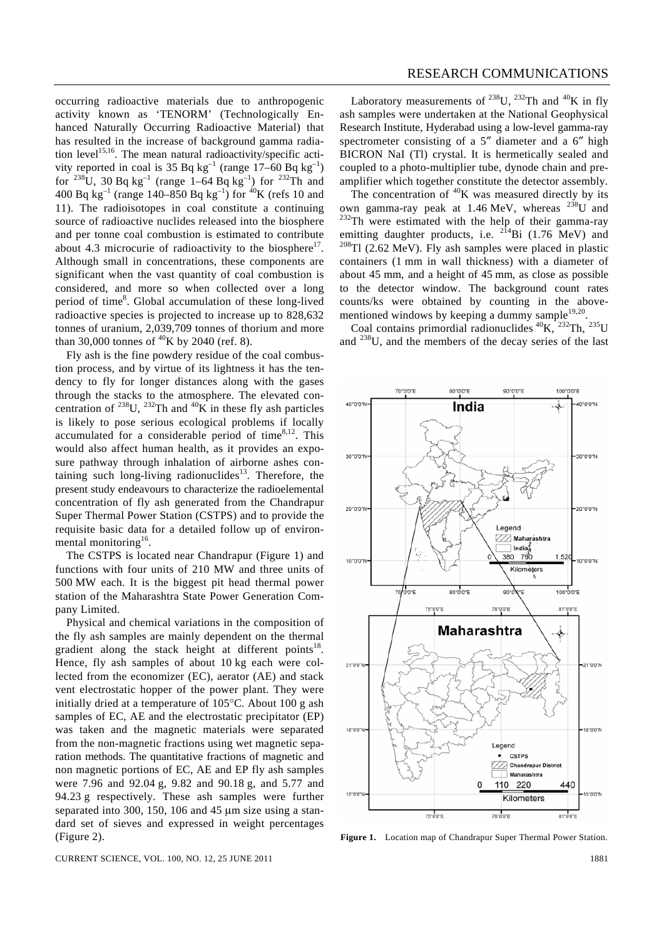occurring radioactive materials due to anthropogenic activity known as 'TENORM' (Technologically Enhanced Naturally Occurring Radioactive Material) that has resulted in the increase of background gamma radiation level<sup>15,16</sup>. The mean natural radioactivity/specific activity reported in coal is 35 Bq  $kg^{-1}$  (range 17–60 Bq  $kg^{-1}$ ) for <sup>238</sup>U, 30 Bq kg<sup>-1</sup> (range 1–64 Bq kg<sup>-1</sup>) for <sup>232</sup>Th and 400 Bq kg<sup>-1</sup> (range 140–850 Bq kg<sup>-1</sup>) for <sup>40</sup>K (refs 10 and 11). The radioisotopes in coal constitute a continuing source of radioactive nuclides released into the biosphere and per tonne coal combustion is estimated to contribute about 4.3 microcurie of radioactivity to the biosphere<sup>17</sup>. Although small in concentrations, these components are significant when the vast quantity of coal combustion is considered, and more so when collected over a long period of time<sup>8</sup>. Global accumulation of these long-lived radioactive species is projected to increase up to 828,632 tonnes of uranium, 2,039,709 tonnes of thorium and more than 30,000 tonnes of  ${}^{40}$ K by 2040 (ref. 8).

 Fly ash is the fine powdery residue of the coal combustion process, and by virtue of its lightness it has the tendency to fly for longer distances along with the gases through the stacks to the atmosphere. The elevated concentration of <sup>238</sup>U, <sup>232</sup>Th and <sup>40</sup>K in these fly ash particles is likely to pose serious ecological problems if locally accumulated for a considerable period of time $8,12$ . This would also affect human health, as it provides an exposure pathway through inhalation of airborne ashes containing such long-living radionuclides<sup>13</sup>. Therefore, the present study endeavours to characterize the radioelemental concentration of fly ash generated from the Chandrapur Super Thermal Power Station (CSTPS) and to provide the requisite basic data for a detailed follow up of environmental monitoring<sup>16</sup>.

 The CSTPS is located near Chandrapur (Figure 1) and functions with four units of 210 MW and three units of 500 MW each. It is the biggest pit head thermal power station of the Maharashtra State Power Generation Company Limited.

 Physical and chemical variations in the composition of the fly ash samples are mainly dependent on the thermal gradient along the stack height at different points<sup>18</sup>. Hence, fly ash samples of about 10 kg each were collected from the economizer (EC), aerator (AE) and stack vent electrostatic hopper of the power plant. They were initially dried at a temperature of 105°C. About 100 g ash samples of EC, AE and the electrostatic precipitator (EP) was taken and the magnetic materials were separated from the non-magnetic fractions using wet magnetic separation methods. The quantitative fractions of magnetic and non magnetic portions of EC, AE and EP fly ash samples were 7.96 and 92.04 g, 9.82 and 90.18 g, and 5.77 and 94.23 g respectively. These ash samples were further separated into 300, 150, 106 and 45 μm size using a standard set of sieves and expressed in weight percentages (Figure 2).

Laboratory measurements of <sup>238</sup>U, <sup>232</sup>Th and <sup>40</sup>K in fly ash samples were undertaken at the National Geophysical Research Institute, Hyderabad using a low-level gamma-ray spectrometer consisting of a 5″ diameter and a 6″ high BICRON NaI (Tl) crystal. It is hermetically sealed and coupled to a photo-multiplier tube, dynode chain and preamplifier which together constitute the detector assembly.

The concentration of  ${}^{40}$ K was measured directly by its own gamma-ray peak at 1.46 MeV, whereas  $^{238}$ U and  $232$ Th were estimated with the help of their gamma-ray emitting daughter products, i.e.  $2^{14}$ Bi (1.76 MeV) and  $2^{08}$ Tl (2.62 MeV). Fly ash samples were placed in plastic containers (1 mm in wall thickness) with a diameter of about 45 mm, and a height of 45 mm, as close as possible to the detector window. The background count rates counts/ks were obtained by counting in the abovementioned windows by keeping a dummy sample $19,20$ .

Coal contains primordial radionuclides  ${}^{40}$ K,  ${}^{232}$ Th,  ${}^{235}$ U and 238U, and the members of the decay series of the last



**Figure 1.** Location map of Chandrapur Super Thermal Power Station.

CURRENT SCIENCE, VOL. 100, NO. 12, 25 JUNE 2011 1881 1892 1893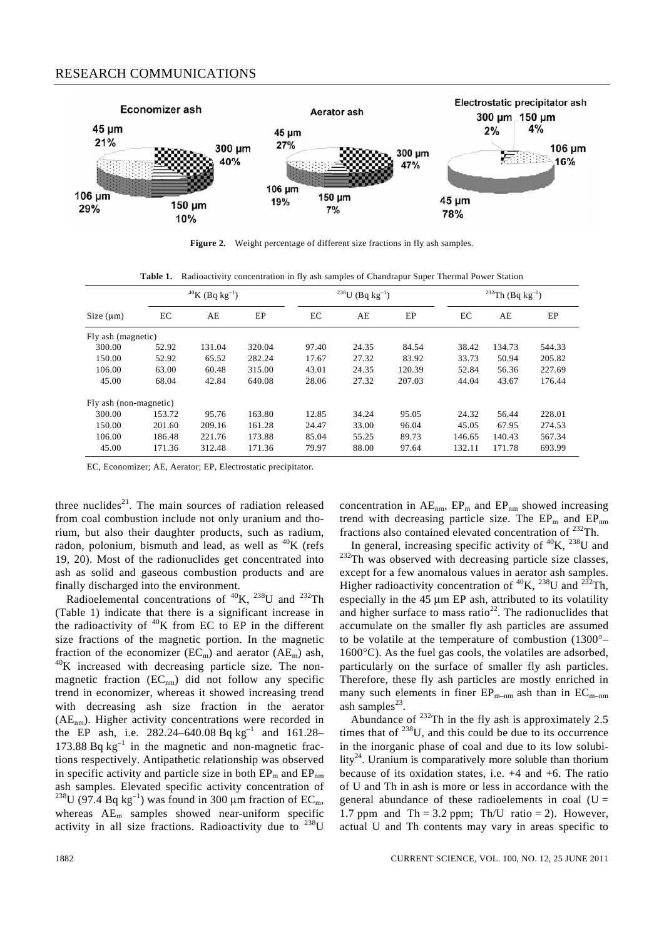

**Figure 2.** Weight percentage of different size fractions in fly ash samples.

**Table 1.** Radioactivity concentration in fly ash samples of Chandrapur Super Thermal Power Station

|                        | <sup>40</sup> K (Bq kg <sup>-1</sup> ) |        |        | <sup>238</sup> U (Bq kg <sup>-1</sup> ) |       |        | <sup>232</sup> Th (Bq kg <sup>-1</sup> ) |        |        |
|------------------------|----------------------------------------|--------|--------|-----------------------------------------|-------|--------|------------------------------------------|--------|--------|
| Size $(\mu m)$         | EС                                     | AE     | EP     | EC                                      | AE    | EP     | EC                                       | AE     | EP     |
| Fly ash (magnetic)     |                                        |        |        |                                         |       |        |                                          |        |        |
| 300.00                 | 52.92                                  | 131.04 | 320.04 | 97.40                                   | 24.35 | 84.54  | 38.42                                    | 134.73 | 544.33 |
| 150.00                 | 52.92                                  | 65.52  | 282.24 | 17.67                                   | 27.32 | 83.92  | 33.73                                    | 50.94  | 205.82 |
| 106.00                 | 63.00                                  | 60.48  | 315.00 | 43.01                                   | 24.35 | 120.39 | 52.84                                    | 56.36  | 227.69 |
| 45.00                  | 68.04                                  | 42.84  | 640.08 | 28.06                                   | 27.32 | 207.03 | 44.04                                    | 43.67  | 176.44 |
| Fly ash (non-magnetic) |                                        |        |        |                                         |       |        |                                          |        |        |
| 300.00                 | 153.72                                 | 95.76  | 163.80 | 12.85                                   | 34.24 | 95.05  | 24.32                                    | 56.44  | 228.01 |
| 150.00                 | 201.60                                 | 209.16 | 161.28 | 24.47                                   | 33.00 | 96.04  | 45.05                                    | 67.95  | 274.53 |
| 106.00                 | 186.48                                 | 221.76 | 173.88 | 85.04                                   | 55.25 | 89.73  | 146.65                                   | 140.43 | 567.34 |
| 45.00                  | 171.36                                 | 312.48 | 171.36 | 79.97                                   | 88.00 | 97.64  | 132.11                                   | 171.78 | 693.99 |

EC, Economizer; AE, Aerator; EP, Electrostatic precipitator.

three nuclides $21$ . The main sources of radiation released from coal combustion include not only uranium and thorium, but also their daughter products, such as radium, radon, polonium, bismuth and lead, as well as  ${}^{40}K$  (refs 19, 20). Most of the radionuclides get concentrated into ash as solid and gaseous combustion products and are finally discharged into the environment.

Radioelemental concentrations of  ${}^{40}K$ ,  ${}^{238}U$  and  ${}^{232}Th$ (Table 1) indicate that there is a significant increase in the radioactivity of  ${}^{40}K$  from EC to EP in the different size fractions of the magnetic portion. In the magnetic fraction of the economizer ( $EC_m$ ) and aerator ( $AE_m$ ) ash,  $^{40}K$  increased with decreasing particle size. The nonmagnetic fraction  $(EC_{nm})$  did not follow any specific trend in economizer, whereas it showed increasing trend with decreasing ash size fraction in the aerator  $(AE<sub>nm</sub>)$ . Higher activity concentrations were recorded in the EP ash, i.e.  $282.24 - 640.08$  Bq kg<sup>-1</sup> and 161.28-173.88 Bq  $kg^{-1}$  in the magnetic and non-magnetic fractions respectively. Antipathetic relationship was observed in specific activity and particle size in both  $EP_m$  and  $EP_{nm}$ ash samples. Elevated specific activity concentration of <sup>238</sup>U (97.4 Bq kg<sup>-1</sup>) was found in 300 μm fraction of EC<sub>m</sub>, whereas  $AE_m$  samples showed near-uniform specific activity in all size fractions. Radioactivity due to  $^{238}$ U concentration in  $AE_{nm}$ ,  $EP_m$  and  $EP_{nm}$  showed increasing trend with decreasing particle size. The  $EP_m$  and  $EP_{nm}$ fractions also contained elevated concentration of  $^{232}$ Th.<br>In general, increasing specific activity of  $^{40}$ K,  $^{238}$ U and

 $232$ Th was observed with decreasing particle size classes, except for a few anomalous values in aerator ash samples. Higher radioactivity concentration of  ${}^{40}$ K,  ${}^{238}$ U and  ${}^{232}$ Th, especially in the 45 μm EP ash, attributed to its volatility and higher surface to mass ratio<sup>22</sup>. The radionuclides that accumulate on the smaller fly ash particles are assumed to be volatile at the temperature of combustion (1300°– 1600°C). As the fuel gas cools, the volatiles are adsorbed, particularly on the surface of smaller fly ash particles. Therefore, these fly ash particles are mostly enriched in many such elements in finer  $EP_{m-nm}$  ash than in  $EC_{m-nm}$ ash samples $^{23}$ .

Abundance of  $^{232}$ Th in the fly ash is approximately 2.5 times that of  $^{238}$ U, and this could be due to its occurrence in the inorganic phase of coal and due to its low solubility<sup>24</sup>. Uranium is comparatively more soluble than thorium because of its oxidation states, i.e. +4 and +6. The ratio of U and Th in ash is more or less in accordance with the general abundance of these radioelements in coal  $(U =$ 1.7 ppm and Th = 3.2 ppm; Th/U ratio = 2). However, actual U and Th contents may vary in areas specific to